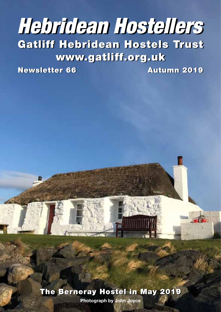# Gatliff Hebridean Hostels Trust Gatliff Hebridean Hostels Trust www.gatliff.org.uk www.gatliff.org.uk *Hebridean Hostellers Hebridean Hostellers*

Newsletter 66 Autumn 2019 Newsletter 66 Autumn 2019

The Berneray Hostel in May 2019 The Berneray Hostel in May 2019

**• 1 • Photograph by John Joyce**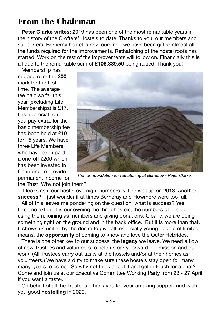## From the Chairman

**Peter Clarke writes:** 2019 has been one of the most remarkable years in the history of the Crofters' Hostels to date. Thanks to you, our members and supporters, Berneray hostel is now ours and we have been gifted almost all the funds required for the improvements. Rethatching of the hostel roofs has started. Work on the rest of the improvements will follow on. Financially this is all due to the remarkable sum of **£106,839.50** being raised. Thank you!

Membership has nudged over the **300** mark for the first time. The average fee paid so far this year (excluding Life Memberships) is £17. It is appreciated if you pay extra, for the basic membership fee has been held at £10 for 15 years. We have three Life Members who have each paid a one-off £200 which has been invested in Charifund to provide permanent income for



*The turf foundation for rethatching at Berneray - Peter Clarke.*

the Trust. Why not join them?

It looks as if our hostel overnight numbers will be well up on 2018. Another **success**? I just wonder if at times Berneray and Howmore were too full.

All of this leaves me pondering on the question, what is success? Yes, to some extent it is our owning the three hostels, the numbers of people using them, joining as members and giving donations. Clearly, we are doing something right on the ground and in the back office. But it is more than that. It shows us united by the desire to give all, especially young people of limited means, the **opportunity** of coming to know and love the Outer Hebrides.

There is one other key to our success, the **legacy** we leave. We need a flow of new Trustees and volunteers to help us carry forward our mission and our work. (All Trustees carry out tasks at the hostels and/or at their homes as volunteers.) We have a duty to make sure these hostels stay open for many, many, years to come. So why not think about it and get in touch for a chat? Come and join us at our Executive Committee Working Party from 23 - 27 April if you want a taster.

On behalf of all the Trustees I thank you for your amazing support and wish you good **hostelling** in 2020.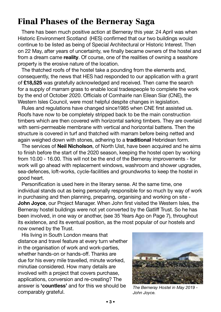## Final Phases of the Berneray Saga

There has been much positive action at Berneray this year. 24 April was when Historic Environment Scotland (HES) confirmed that our two buildings would continue to be listed as being of Special Architectural or Historic Interest. Then on 22 May, after years of uncertainty, we finally became owners of the hostel and from a dream came **reality**. Of course, one of the realities of owning a seashore property is the erosive nature of the location.

The thatched roofs of the hostel take a pounding from the elements and, consequently, the news that HES had responded to our application with a grant of **£18,525** was gratefully acknowledged and received. Then came the search for a supply of marram grass to enable local tradespeople to complete the work by the end of October 2020. Officials of Comhairle nan Eilean Siar (CNE), the Western Isles Council, were most helpful despite changes in legislation.

Rules and regulations have changed since1985 when CNE first assisted us. Roofs have now to be completely stripped back to be the main construction timbers which are then covered with horizontal sarking timbers. They are overlaid with semi-permeable membrane with vertical and horizontal battens. Then the structure is covered in turf and thatched with marram before being netted and again weighed down with stones, adhering to a **traditional** Hebridean form.

The services of **Neil Nicholson**, of North Uist, have been acquired and he aims to finish before the start of the 2020 season, keeping the hostel open by working from 10.00 - 16.00. This will not be the end of the Berneray improvements - for work will go ahead with replacement windows, washroom and shower upgrades, sea-defences, loft-works, cycle-facilities and groundworks to keep the hostel in good heart.

Personification is used here in the literary sense. At the same time, one individual stands out as being personally responsible for so much by way of work in purchasing and then planning, preparing, organising and working on site - **John Joyce**, our Project Manager. When John first visited the Western Isles, the Berneray hostel buildings were not yet converted by the Gatliff Trust. So he has been involved, in one way or another, (see 35 Years Ago on Page 7), throughout its existence, and its eventual position, as the most popular of our hostels and now owned by the Trust.

His living in South London means that distance and travel feature at every turn whether in the organisation of work and work-parties, whether hands-on or hands-off. Thanks are due for his every mile travelled, minute worked, minutiae considered. How many details are involved with a project that covers purchase, applications, conversion and re-creating? The answer is **'countless'** and for this we should be comparably grateful.



*The Berneray Hostel in May 2019 - John Joyce.*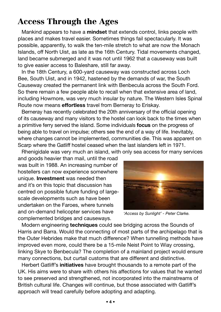## Access Through the Ages

Mankind appears to have a **mindset** that extends control, links people with places and makes travel easier. Sometimes things fail spectacularly. It was possible, apparently, to walk the ten-mile stretch to what are now the Monach Islands, off North Uist, as late as the 16th Century. Tidal movements changed, land became submerged and it was not until 1962 that a causeway was built to give easier access to Baleshare, still far away.

In the 18th Century, a 600-yard causeway was constructed across Loch Bee, South Uist, and in 1942, hastened by the demands of war, the South Causeway created the permanent link with Benbecula across the South Ford. So there remain a few people able to recall when that extensive area of land, including Howmore, was very much insular by nature. The Western Isles Spinal Route now means **effortless** travel from Berneray to Eriskay.

Berneray has recently celebrated the 20th anniversary of the official opening of its causeway and many visitors to the hostel can look back to the times when a primitive ferry served the island. Some individuals **focus** on the progress of being able to travel on impulse; others see the end of a way of life. Inevitably, where changes cannot be implemented, communities die. This was apparent on Scarp where the Gatliff hostel ceased when the last islanders left in 1971.

Rhenigidale was very much an island, with only sea access for many services

and goods heavier than mail, until the road was built in 1988. An increasing number of hostellers can now experience somewhere unique. **Investment** was needed then and it's on this topic that discussion has centred on possible future funding of largescale developments such as have been undertaken on the Faroes, where tunnels and on-demand helicopter services have complemented bridges and causeways.



*'Access by Sunlight' - Peter Clarke.*

Modern engineering **techniques** could see bridging across the Sounds of Harris and Barra. Would the connecting of most parts of the archipelago that is the Outer Hebrides make that much difference? When tunnelling methods have improved even more, could there be a 15-mile Neist Point to Wiay crossing, linking Skye to Benbecula? The completion of a mainland project would ensure many connections, but curtail customs that are different and distinctive.

Herbert Gatliff's **initiatives** have brought thousands to a remote part of the UK. His aims were to share with others his affections for values that he wanted to see preserved and strengthened, not incorporated into the mainstreams of British cultural life. Changes will continue, but those associated with Gatliff's approach will tread carefully before adopting and adapting.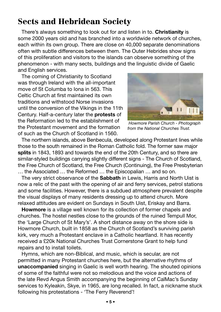## Sects and Hebridean Society

There's always something to look out for and listen in to. **Christianity** is some 2000 years old and has branched into a worldwide network of churches, each within its own group. There are close on 40,000 separate denominations often with subtle differences between them. The Outer Hebrides show signs of this proliferation and visitors to the islands can observe something of the phenomenon - with many sects, buildings and the linguistic divide of Gaelic and English services.

The coming of Christianity to Scotland was through Ireland with the all-important move of St Columba to Iona in 563. This Celtic Church at first maintained its own traditions and withstood Norse invasions until the conversion of the Vikings in the 11th Century. Half-a-century later the **protests** of the Reformation led to the establishment of the Protestant movement and the formation of such as the Church of Scotland in 1560.



 *Howmore Parish Church - Photograph from the National Churches Trust.*

The northern islands, above Benbecula, developed along Protestant lines while those to the south remained in the Roman Catholic fold. The former saw major **splits** in 1843, 1893 and towards the end of the 20th Century, and so there are similar-styled buildings carrying slightly different signs - The Church of Scotland, the Free Church of Scotland, the Free Church (Continuing), the Free Presbyterian … the Associated … the Reformed … the Episcopalian … and so on.

The very strict observance of the **Sabbath** in Lewis, Harris and North Uist is now a relic of the past with the opening of air and ferry services, petrol stations and some facilities. However, there is a subdued atmosphere prevalent despite the visual displays of many residents dressing up to attend church. More relaxed attitudes are evident on Sundays in South Uist, Eriskay and Barra.

**Howmore** is a village well known for its collection of former chapels and churches. The hostel nestles close to the grounds of the ruined Tempull Mor, the 'Large Church of St Mary's'. A short distance away on the shore side is Howmore Church, built in 1858 as the Church of Scotland's surviving parish kirk, very much a Protestant enclave in a Catholic heartland. It has recently received a £20k National Churches Trust Cornerstone Grant to help fund repairs and to install toilets.

Hymns, which are non-Biblical, and music, which is secular, are not permitted in many Protestant churches here, but the alternative rhythms of **unaccompanied** singing in Gaelic is well worth hearing. The shouted opinions of some of the faithful were not so melodious and the voice and actions of the late Revd Angus Smith accompanying the beginning of CalMac's Sunday services to Kyleakin, Skye, in 1965, are long recalled. In fact, a nickname stuck following his protestations - 'The Ferry Reverend'!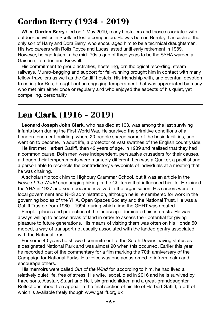## Gordon Berry (1934 - 2019)

When **Gordon Berry** died on 1 May 2019, many hostellers and those associated with outdoor activities in Scotland lost a companion. He was born in Burnley, Lancashire, the only son of Harry and Dora Berry, who encouraged him to be a technical draughtsman. His two careers with Rolls Royce and Lucas lasted until early retirement in 1989. However, he had taken in the mid-'70s a gap of three years to be the SYHA warden at Gairloch, Torridon and Kirkwall.

His commitment to group activities, hostelling, ornithological recording, steam railways, Munro-bagging and support for fell-running brought him in contact with many fellow-travellers as well as the Gatliff hostels. His friendship with, and eventual devotion to caring for Ros, brought out an engaging temperament that was appreciated by many who met him either once or regularly and who enjoyed the aspects of his quiet, yet compelling, personality.

## Len Clark (1916 - 2019)

**Leonard Joseph John Clark**, who has died at 103, was among the last surviving infants born during the First World War. He survived the primitive conditions of a London tenement building, where 20 people shared some of the basic facilities, and went on to become, in adult life, a protector of vast swathes of the English countryside.

He first met Herbert Gatliff, then 42 years of age, in 1939 and realised that they had a common cause. Both men were independent, persuasive crusaders for their causes, although their temperaments were markedly different. Len was a Quaker, a pacifist and a person able to reconcile the contradictory viewpoints of individuals at a meeting that he was chairing.

A scholarship took him to Highbury Grammar School, but it was an article in the *News of the World* encouraging hiking in the Chilterns that influenced his life. He joined the YHA in 1937 and soon became involved in the organisation. His careers were in local government and NHS administration, although he is remembered for work in the governing bodies of the YHA, Open Spaces Society and the National Trust. He was a Gatliff Trustee from 1980 – 1994, during which time the GHHT was created.

People, places and protection of the landscape dominated his interests. He was always willing to access areas of land in order to assess their potential for giving pleasure to future generations. His means of visiting them was often on his Honda 50 moped, a way of transport not usually associated with the landed gentry associated with the National Trust.

For some 40 years he showed commitment to the South Downs having status as a designated National Park and was almost 90 when this occurred. Earlier this year he recorded part of the commentary for a film marking the 70th anniversary of the Campaign for National Parks. His voice was one accustomed to inform, calm and encourage others.

His memoirs were called *Out of the Wind* for, according to him, he had lived a relatively quiet life, free of stress. His wife, Isobel, died in 2016 and he is survived by three sons, Alastair, Stuart and Neil, six grandchildren and a great-granddaughter. Reflections about Len appear in the final section of his life of Herbert Gatliff, a pdf of which is available freely though www.gatliff.org.uk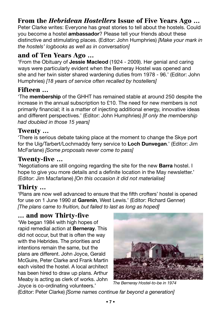### From the *Hebridean Hostellers* Issue of Five Years Ago …

Peter Clarke writes: Everyone has great stories to tell about the hostels. Could you become a hostel **ambassador**? Please tell your friends about these distinctive and stimulating places. (Editor: John Humphries) *[Make your mark in the hostels' logbooks as well as in conversation]*

#### and of Ten Years Ago …

'From the Obituary of **Jessie Macleod** (1924 - 2009). Her genial and caring ways were particularly evident when the Berneray Hostel was opened and she and her twin sister shared wardening duties from 1978 - 96.' (Editor: John Humphries) *[18 years of service often recalled by hostellers]*

#### Fifteen …

'The **membership** of the GHHT has remained stable at around 250 despite the increase in the annual subscription to £10. The need for new members is not primarily financial; it is a matter of injecting additional energy, innovative ideas and different perspectives.' (Editor: John Humphries) *[If only the membership had doubled in those 15 years]*

#### Twenty …

'There is serious debate taking place at the moment to change the Skye port for the Uig/Tarbert/Lochmaddy ferry service to **Loch Dunvegan**.' (Editor: Jim McFarlane) *[Some proposals never come to pass]*

#### Twenty-five …

'Negotiations are still ongoing regarding the site for the new **Barra** hostel. I hope to give you more details and a definite location in the May newsletter.' (Editor: Jim Macfarlane) *[On this occasion it did not materialise]*

#### Thirty …

'Plans are now well advanced to ensure that the fifth crofters' hostel is opened for use on 1 June 1990 at **Garenin**, West Lewis.' (Editor: Richard Genner) *[The plans came to fruition, but failed to last as long as hoped]*

#### … and now Thirty-five

'We began 1984 with high hopes of rapid remedial action at **Berneray**. This did not occur, but that is often the way with the Hebrides. The priorities and intentions remain the same, but the plans are different. John Joyce, Gerald McGuire, Peter Clarke and Frank Martin each visited the hostel. A local architect has been hired to draw up plans. Arthur Meaby is acting as clerk of works. John Joyce is co-ordinating volunteers.'



*The Berneray Hostel-to-be in 1974*

(Editor: Peter Clarke) *[Some names continue far beyond a generation]*